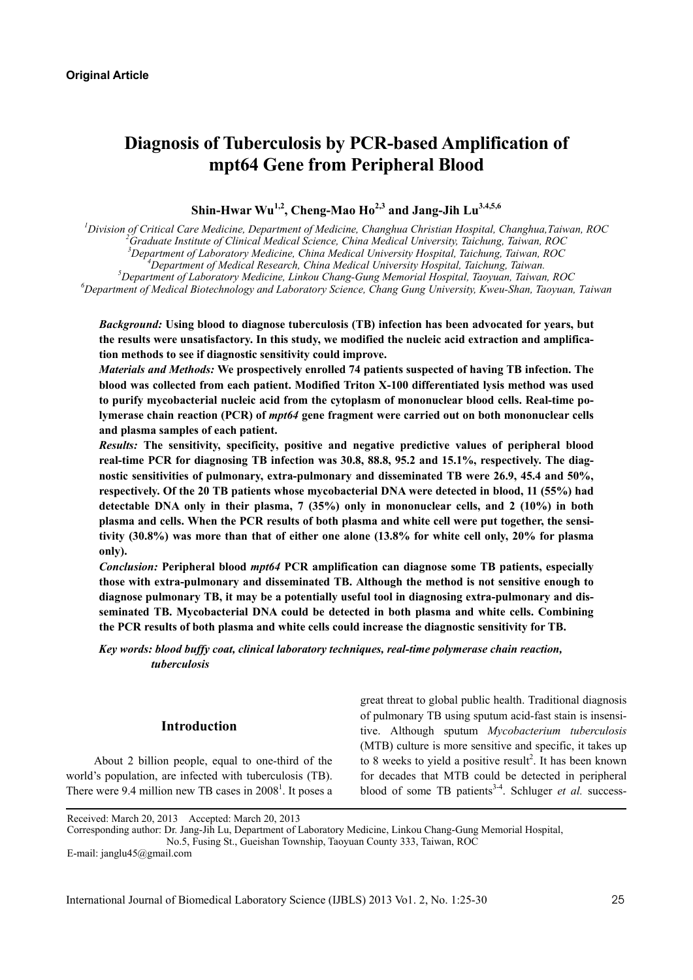# **Diagnosis of Tuberculosis by PCR-based Amplification of mpt64 Gene from Peripheral Blood**

Shin-Hwar Wu<sup>1,2</sup>, Cheng-Mao Ho<sup>2,3</sup> and Jang-Jih Lu<sup>3,4,5,6</sup>

*1 Division of Critical Care Medicine, Department of Medicine, Changhua Christian Hospital, Changhua,Taiwan, ROC 2 Graduate Institute of Clinical Medical Science, China Medical University, Taichung, Taiwan, ROC 3 Department of Laboratory Medicine, China Medical University Hospital, Taichung, Taiwan, ROC 4* <sup>4</sup> Department of Medical Research, China Medical University Hospital, Taichung, Taiwan. *Department of Laboratory Medicine, Linkou Chang-Gung Memorial Hospital, Taoyuan, Taiwan, ROC 6*

*Department of Medical Biotechnology and Laboratory Science, Chang Gung University, Kweu-Shan, Taoyuan, Taiwan*

*Background:* **Using blood to diagnose tuberculosis (TB) infection has been advocated for years, but the results were unsatisfactory. In this study, we modified the nucleic acid extraction and amplification methods to see if diagnostic sensitivity could improve.** 

*Materials and Methods:* **We prospectively enrolled 74 patients suspected of having TB infection. The blood was collected from each patient. Modified Triton X-100 differentiated lysis method was used to purify mycobacterial nucleic acid from the cytoplasm of mononuclear blood cells. Real-time polymerase chain reaction (PCR) of** *mpt64* **gene fragment were carried out on both mononuclear cells and plasma samples of each patient.** 

*Results:* **The sensitivity, specificity, positive and negative predictive values of peripheral blood real-time PCR for diagnosing TB infection was 30.8, 88.8, 95.2 and 15.1%, respectively. The diagnostic sensitivities of pulmonary, extra-pulmonary and disseminated TB were 26.9, 45.4 and 50%, respectively. Of the 20 TB patients whose mycobacterial DNA were detected in blood, 11 (55%) had detectable DNA only in their plasma, 7 (35%) only in mononuclear cells, and 2 (10%) in both plasma and cells. When the PCR results of both plasma and white cell were put together, the sensitivity (30.8%) was more than that of either one alone (13.8% for white cell only, 20% for plasma only).** 

*Conclusion:* **Peripheral blood** *mpt64* **PCR amplification can diagnose some TB patients, especially those with extra-pulmonary and disseminated TB. Although the method is not sensitive enough to diagnose pulmonary TB, it may be a potentially useful tool in diagnosing extra-pulmonary and disseminated TB. Mycobacterial DNA could be detected in both plasma and white cells. Combining the PCR results of both plasma and white cells could increase the diagnostic sensitivity for TB.** 

*Key words: blood buffy coat, clinical laboratory techniques, real-time polymerase chain reaction, tuberculosis* 

## **Introduction**

About 2 billion people, equal to one-third of the world's population, are infected with tuberculosis (TB). There were 9.4 million new TB cases in  $2008<sup>1</sup>$ . It poses a great threat to global public health. Traditional diagnosis of pulmonary TB using sputum acid-fast stain is insensitive. Although sputum *Mycobacterium tuberculosis* (MTB) culture is more sensitive and specific, it takes up to 8 weeks to yield a positive result<sup>2</sup>. It has been known for decades that MTB could be detected in peripheral blood of some TB patients<sup>3-4</sup>. Schluger *et al.* success-

Corresponding author: Dr. Jang-Jih Lu, Department of Laboratory Medicine, Linkou Chang-Gung Memorial Hospital, No.5, Fusing St., Gueishan Township, Taoyuan County 333, Taiwan, ROC

Received: March 20, 2013 Accepted: March 20, 2013

E-mail: janglu45@gmail.com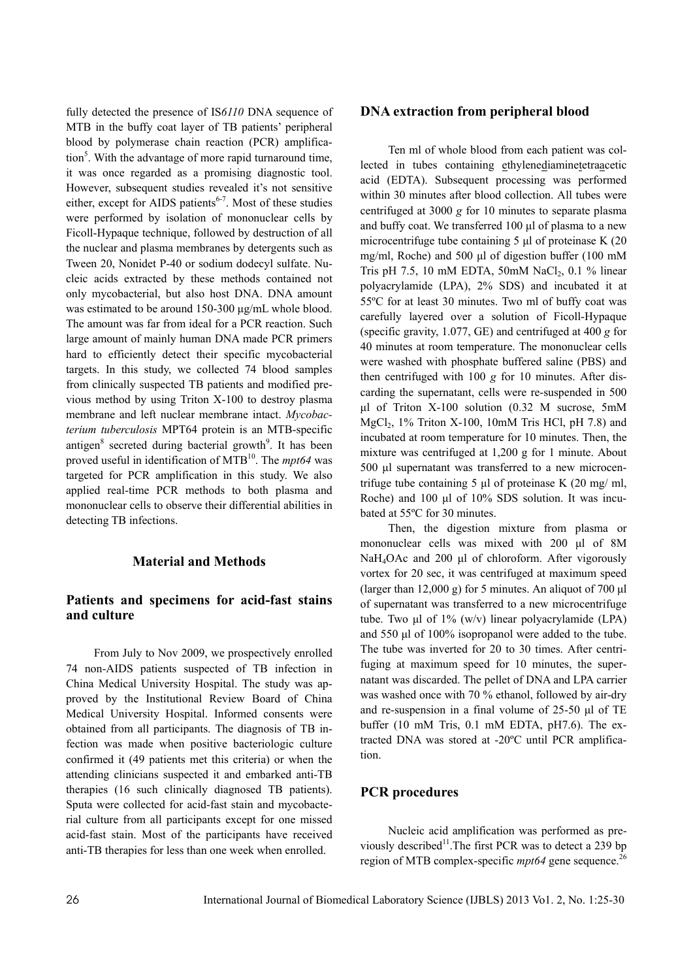fully detected the presence of IS*6110* DNA sequence of MTB in the buffy coat layer of TB patients' peripheral blood by polymerase chain reaction (PCR) amplification<sup>5</sup>. With the advantage of more rapid turnaround time, it was once regarded as a promising diagnostic tool. However, subsequent studies revealed it's not sensitive either, except for AIDS patients $6-7$ . Most of these studies were performed by isolation of mononuclear cells by Ficoll-Hypaque technique, followed by destruction of all the nuclear and plasma membranes by detergents such as Tween 20, Nonidet P-40 or sodium dodecyl sulfate. Nucleic acids extracted by these methods contained not only mycobacterial, but also host DNA. DNA amount was estimated to be around 150-300 μg/mL whole blood. The amount was far from ideal for a PCR reaction. Such large amount of mainly human DNA made PCR primers hard to efficiently detect their specific mycobacterial targets. In this study, we collected 74 blood samples from clinically suspected TB patients and modified previous method by using Triton X-100 to destroy plasma membrane and left nuclear membrane intact. *Mycobacterium tuberculosis* MPT64 protein is an MTB-specific antigen<sup>8</sup> secreted during bacterial growth<sup>9</sup>. It has been proved useful in identification of MTB<sup>10</sup>. The *mpt64* was targeted for PCR amplification in this study. We also applied real-time PCR methods to both plasma and mononuclear cells to observe their differential abilities in detecting TB infections.

# **Material and Methods**

# **Patients and specimens for acid-fast stains and culture**

From July to Nov 2009, we prospectively enrolled 74 non-AIDS patients suspected of TB infection in China Medical University Hospital. The study was approved by the Institutional Review Board of China Medical University Hospital. Informed consents were obtained from all participants. The diagnosis of TB infection was made when positive bacteriologic culture confirmed it (49 patients met this criteria) or when the attending clinicians suspected it and embarked anti-TB therapies (16 such clinically diagnosed TB patients). Sputa were collected for acid-fast stain and mycobacterial culture from all participants except for one missed acid-fast stain. Most of the participants have received anti-TB therapies for less than one week when enrolled.

# **DNA extraction from peripheral blood**

Ten ml of whole blood from each patient was collected in tubes containing ethylenediaminetetraacetic acid (EDTA). Subsequent processing was performed within 30 minutes after blood collection. All tubes were centrifuged at 3000 *g* for 10 minutes to separate plasma and buffy coat. We transferred 100 μl of plasma to a new microcentrifuge tube containing 5 μl of proteinase K (20 mg/ml, Roche) and 500 μl of digestion buffer (100 mM Tris pH 7.5, 10 mM EDTA, 50mM  $NaCl<sub>2</sub>$ , 0.1 % linear polyacrylamide (LPA), 2% SDS) and incubated it at 55ºC for at least 30 minutes. Two ml of buffy coat was carefully layered over a solution of Ficoll-Hypaque (specific gravity, 1.077, GE) and centrifuged at 400 *g* for 40 minutes at room temperature. The mononuclear cells were washed with phosphate buffered saline (PBS) and then centrifuged with 100 *g* for 10 minutes. After discarding the supernatant, cells were re-suspended in 500 μl of Triton X-100 solution (0.32 M sucrose, 5mM MgCl<sub>2</sub>, 1% Triton X-100, 10mM Tris HCl, pH 7.8) and incubated at room temperature for 10 minutes. Then, the mixture was centrifuged at 1,200 g for 1 minute. About 500 ul supernatant was transferred to a new microcentrifuge tube containing 5 μl of proteinase K  $(20 \text{ mg/m})$ , Roche) and 100 μl of 10% SDS solution. It was incubated at 55ºC for 30 minutes.

Then, the digestion mixture from plasma or mononuclear cells was mixed with 200 μl of 8M NaH4OAc and 200 μl of chloroform. After vigorously vortex for 20 sec, it was centrifuged at maximum speed (larger than 12,000 g) for 5 minutes. An aliquot of 700 μl of supernatant was transferred to a new microcentrifuge tube. Two μl of  $1\%$  (w/v) linear polyacrylamide (LPA) and 550 μl of 100% isopropanol were added to the tube. The tube was inverted for 20 to 30 times. After centrifuging at maximum speed for 10 minutes, the supernatant was discarded. The pellet of DNA and LPA carrier was washed once with 70 % ethanol, followed by air-dry and re-suspension in a final volume of 25-50 μl of TE buffer (10 mM Tris, 0.1 mM EDTA, pH7.6). The extracted DNA was stored at -20ºC until PCR amplification.

## **PCR procedures**

Nucleic acid amplification was performed as previously described<sup>11</sup>. The first PCR was to detect a 239 bp region of MTB complex-specific *mpt64* gene sequence.<sup>26</sup>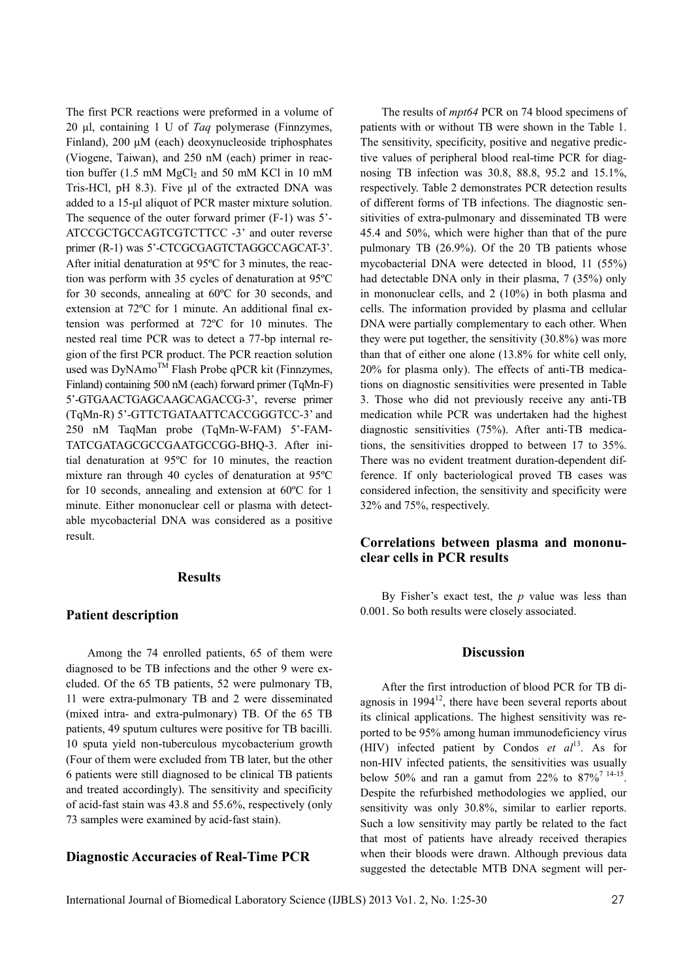The first PCR reactions were preformed in a volume of 20 μl, containing 1 U of *Taq* polymerase (Finnzymes, Finland), 200 μM (each) deoxynucleoside triphosphates (Viogene, Taiwan), and 250 nM (each) primer in reaction buffer (1.5 mM  $MgCl<sub>2</sub>$  and 50 mM KCl in 10 mM Tris-HCl, pH 8.3). Five μl of the extracted DNA was added to a 15-μl aliquot of PCR master mixture solution. The sequence of the outer forward primer (F-1) was 5'- ATCCGCTGCCAGTCGTCTTCC -3' and outer reverse primer (R-1) was 5'-CTCGCGAGTCTAGGCCAGCAT-3'. After initial denaturation at 95ºC for 3 minutes, the reaction was perform with 35 cycles of denaturation at 95ºC for 30 seconds, annealing at 60ºC for 30 seconds, and extension at 72ºC for 1 minute. An additional final extension was performed at 72ºC for 10 minutes. The nested real time PCR was to detect a 77-bp internal region of the first PCR product. The PCR reaction solution used was DyNAmo<sup>™</sup> Flash Probe qPCR kit (Finnzymes, Finland) containing 500 nM (each) forward primer (TqMn-F) 5'-GTGAACTGAGCAAGCAGACCG-3', reverse primer (TqMn-R) 5'-GTTCTGATAATTCACCGGGTCC-3' and 250 nM TaqMan probe (TqMn-W-FAM) 5'-FAM-TATCGATAGCGCCGAATGCCGG-BHQ-3. After initial denaturation at 95ºC for 10 minutes, the reaction mixture ran through 40 cycles of denaturation at 95ºC for 10 seconds, annealing and extension at 60ºC for 1 minute. Either mononuclear cell or plasma with detectable mycobacterial DNA was considered as a positive result.

#### **Results**

#### **Patient description**

Among the 74 enrolled patients, 65 of them were diagnosed to be TB infections and the other 9 were excluded. Of the 65 TB patients, 52 were pulmonary TB, 11 were extra-pulmonary TB and 2 were disseminated (mixed intra- and extra-pulmonary) TB. Of the 65 TB patients, 49 sputum cultures were positive for TB bacilli. 10 sputa yield non-tuberculous mycobacterium growth (Four of them were excluded from TB later, but the other 6 patients were still diagnosed to be clinical TB patients and treated accordingly). The sensitivity and specificity of acid-fast stain was 43.8 and 55.6%, respectively (only 73 samples were examined by acid-fast stain).

# **Diagnostic Accuracies of Real-Time PCR**

The results of *mpt64* PCR on 74 blood specimens of patients with or without TB were shown in the Table 1. The sensitivity, specificity, positive and negative predictive values of peripheral blood real-time PCR for diagnosing TB infection was 30.8, 88.8, 95.2 and 15.1%, respectively. Table 2 demonstrates PCR detection results of different forms of TB infections. The diagnostic sensitivities of extra-pulmonary and disseminated TB were 45.4 and 50%, which were higher than that of the pure pulmonary TB (26.9%). Of the 20 TB patients whose mycobacterial DNA were detected in blood, 11 (55%) had detectable DNA only in their plasma, 7 (35%) only in mononuclear cells, and 2 (10%) in both plasma and cells. The information provided by plasma and cellular DNA were partially complementary to each other. When they were put together, the sensitivity (30.8%) was more than that of either one alone (13.8% for white cell only, 20% for plasma only). The effects of anti-TB medications on diagnostic sensitivities were presented in Table 3. Those who did not previously receive any anti-TB medication while PCR was undertaken had the highest diagnostic sensitivities (75%). After anti-TB medications, the sensitivities dropped to between 17 to 35%. There was no evident treatment duration-dependent difference. If only bacteriological proved TB cases was considered infection, the sensitivity and specificity were 32% and 75%, respectively.

## **Correlations between plasma and mononuclear cells in PCR results**

By Fisher's exact test, the *p* value was less than 0.001. So both results were closely associated.

#### **Discussion**

After the first introduction of blood PCR for TB diagnosis in  $1994^{12}$ , there have been several reports about its clinical applications. The highest sensitivity was reported to be 95% among human immunodeficiency virus (HIV) infected patient by Condos *et al*13. As for non-HIV infected patients, the sensitivities was usually below 50% and ran a gamut from 22% to  $87\frac{14-15}{6}$ . Despite the refurbished methodologies we applied, our sensitivity was only 30.8%, similar to earlier reports. Such a low sensitivity may partly be related to the fact that most of patients have already received therapies when their bloods were drawn. Although previous data suggested the detectable MTB DNA segment will per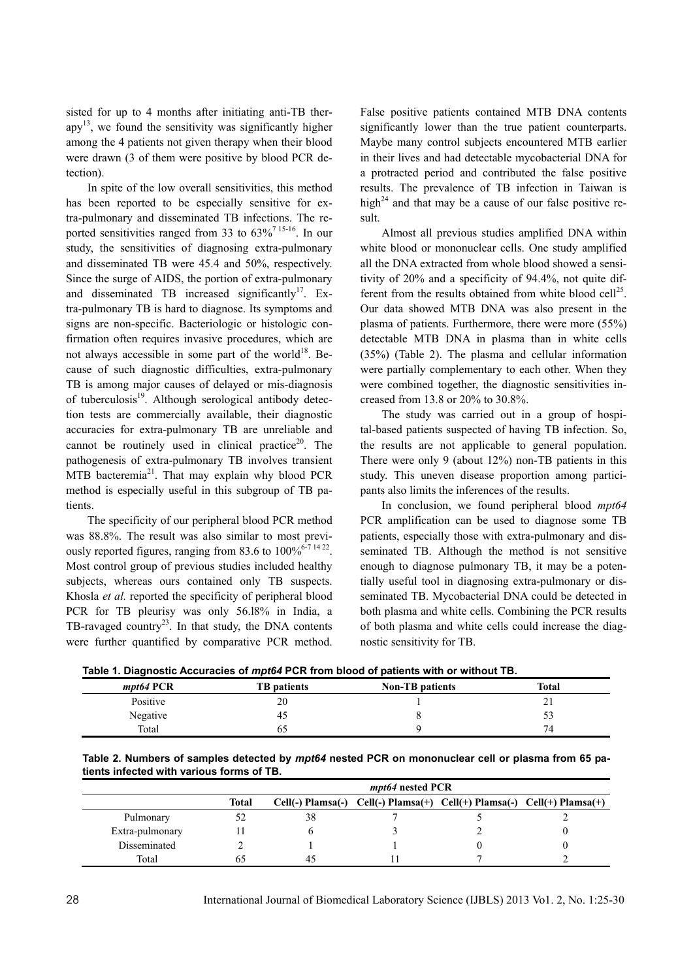sisted for up to 4 months after initiating anti-TB therapy<sup>13</sup>, we found the sensitivity was significantly higher among the 4 patients not given therapy when their blood were drawn (3 of them were positive by blood PCR detection).

In spite of the low overall sensitivities, this method has been reported to be especially sensitive for extra-pulmonary and disseminated TB infections. The reported sensitivities ranged from 33 to  $63\%$ <sup>7 15-16</sup>. In our study, the sensitivities of diagnosing extra-pulmonary and disseminated TB were 45.4 and 50%, respectively. Since the surge of AIDS, the portion of extra-pulmonary and disseminated TB increased significantly<sup>17</sup>. Extra-pulmonary TB is hard to diagnose. Its symptoms and signs are non-specific. Bacteriologic or histologic confirmation often requires invasive procedures, which are not always accessible in some part of the world<sup>18</sup>. Because of such diagnostic difficulties, extra-pulmonary TB is among major causes of delayed or mis-diagnosis of tuberculosis $19$ . Although serological antibody detection tests are commercially available, their diagnostic accuracies for extra-pulmonary TB are unreliable and cannot be routinely used in clinical practice<sup>20</sup>. The pathogenesis of extra-pulmonary TB involves transient MTB bacteremia<sup>21</sup>. That may explain why blood PCR method is especially useful in this subgroup of TB patients.

The specificity of our peripheral blood PCR method was 88.8%. The result was also similar to most previously reported figures, ranging from 83.6 to  $100\%^{6.7\,14\,22}$ . Most control group of previous studies included healthy subjects, whereas ours contained only TB suspects. Khosla *et al.* reported the specificity of peripheral blood PCR for TB pleurisy was only 56.18% in India, a TB-ravaged country<sup>23</sup>. In that study, the DNA contents were further quantified by comparative PCR method.

False positive patients contained MTB DNA contents significantly lower than the true patient counterparts. Maybe many control subjects encountered MTB earlier in their lives and had detectable mycobacterial DNA for a protracted period and contributed the false positive results. The prevalence of TB infection in Taiwan is high<sup>24</sup> and that may be a cause of our false positive result.

Almost all previous studies amplified DNA within white blood or mononuclear cells. One study amplified all the DNA extracted from whole blood showed a sensitivity of 20% and a specificity of 94.4%, not quite different from the results obtained from white blood cell<sup>25</sup>. Our data showed MTB DNA was also present in the plasma of patients. Furthermore, there were more (55%) detectable MTB DNA in plasma than in white cells (35%) (Table 2). The plasma and cellular information were partially complementary to each other. When they were combined together, the diagnostic sensitivities increased from 13.8 or 20% to 30.8%.

The study was carried out in a group of hospital-based patients suspected of having TB infection. So, the results are not applicable to general population. There were only 9 (about 12%) non-TB patients in this study. This uneven disease proportion among participants also limits the inferences of the results.

In conclusion, we found peripheral blood *mpt64* PCR amplification can be used to diagnose some TB patients, especially those with extra-pulmonary and disseminated TB. Although the method is not sensitive enough to diagnose pulmonary TB, it may be a potentially useful tool in diagnosing extra-pulmonary or disseminated TB. Mycobacterial DNA could be detected in both plasma and white cells. Combining the PCR results of both plasma and white cells could increase the diagnostic sensitivity for TB.

| Table 1. Diagnostic Accuracies of mpt64 PCR from blood of patients with or without TB. |  |
|----------------------------------------------------------------------------------------|--|
|                                                                                        |  |

|             |                    | <b>TWATER IT DIMALLANT THE CONTROL OF THE COLLECTION I</b> DIVIDENCE OF MATCHING THE CONTROL TIME |       |
|-------------|--------------------|---------------------------------------------------------------------------------------------------|-------|
| $mpt64$ PCR | <b>TB</b> patients | <b>Non-TB</b> patients                                                                            | Total |
| Positive    | 20                 |                                                                                                   | ∸ ⊥   |
| Negative    | 42                 |                                                                                                   |       |
| Total       | b.                 |                                                                                                   | 74    |

**Table 2. Numbers of samples detected by** *mpt64* **nested PCR on mononuclear cell or plasma from 65 patients infected with various forms of TB.** 

|                 |       | <i>mpt64</i> nested PCR |  |  |                                                                         |
|-----------------|-------|-------------------------|--|--|-------------------------------------------------------------------------|
|                 | Total |                         |  |  | Cell(-) Plamsa(-) Cell(-) Plamsa(+) Cell(+) Plamsa(-) Cell(+) Plamsa(+) |
| Pulmonary       |       | 38                      |  |  |                                                                         |
| Extra-pulmonary |       |                         |  |  |                                                                         |
| Disseminated    |       |                         |  |  |                                                                         |
| Total           |       | 4.                      |  |  |                                                                         |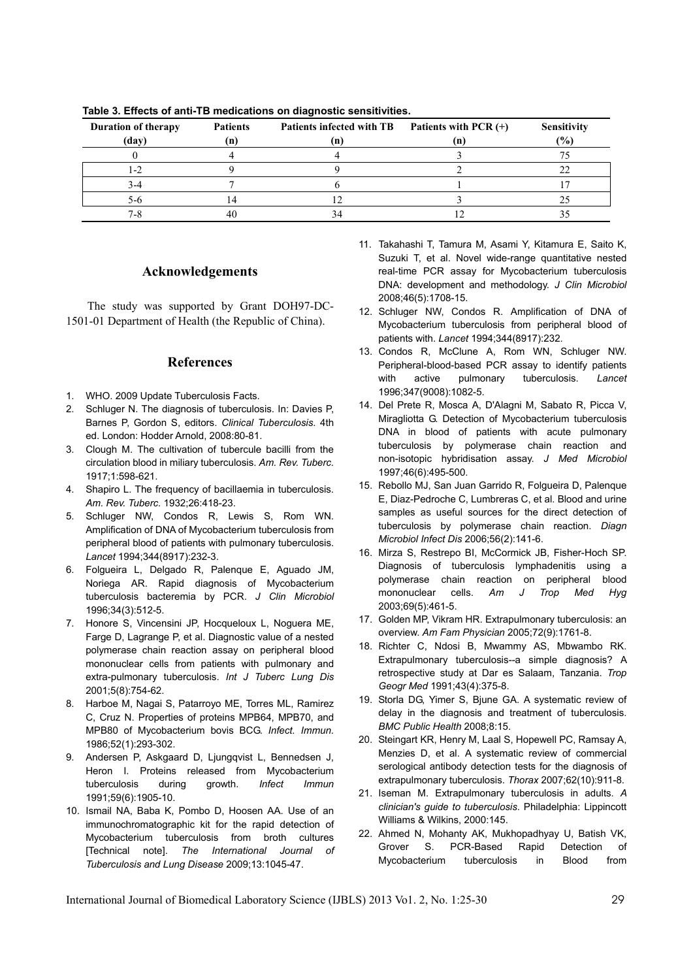| <b>Duration of therapy</b> | <b>Patients</b> | Patients infected with TB | Patients with PCR (+) | <b>Sensitivity</b> |
|----------------------------|-----------------|---------------------------|-----------------------|--------------------|
| (day)                      | (n)             | $\mathbf{n}$              | (n                    | (%)                |
|                            |                 |                           |                       |                    |
|                            |                 |                           |                       |                    |
|                            |                 |                           |                       |                    |
| ጎ-ሰ                        |                 |                           |                       |                    |
|                            |                 |                           |                       |                    |

**Table 3. Effects of anti-TB medications on diagnostic sensitivities.** 

#### **Acknowledgements**

The study was supported by Grant DOH97-DC-1501-01 Department of Health (the Republic of China).

### **References**

- 1. WHO. 2009 Update Tuberculosis Facts.
- 2. Schluger N. The diagnosis of tuberculosis. In: Davies P, Barnes P, Gordon S, editors. *Clinical Tuberculosis*. 4th ed. London: Hodder Arnold, 2008:80-81.
- 3. Clough M. The cultivation of tubercule bacilli from the circulation blood in miliary tuberculosis. *Am. Rev. Tuberc.* 1917;1:598-621.
- 4. Shapiro L. The frequency of bacillaemia in tuberculosis. *Am. Rev. Tuberc.* 1932;26:418-23.
- 5. Schluger NW, Condos R, Lewis S, Rom WN. Amplification of DNA of Mycobacterium tuberculosis from peripheral blood of patients with pulmonary tuberculosis. *Lancet* 1994;344(8917):232-3.
- 6. Folgueira L, Delgado R, Palenque E, Aguado JM, Noriega AR. Rapid diagnosis of Mycobacterium tuberculosis bacteremia by PCR. *J Clin Microbiol* 1996;34(3):512-5.
- 7. Honore S, Vincensini JP, Hocqueloux L, Noguera ME, Farge D, Lagrange P, et al. Diagnostic value of a nested polymerase chain reaction assay on peripheral blood mononuclear cells from patients with pulmonary and extra-pulmonary tuberculosis. *Int J Tuberc Lung Dis* 2001;5(8):754-62.
- 8. Harboe M, Nagai S, Patarroyo ME, Torres ML, Ramirez C, Cruz N. Properties of proteins MPB64, MPB70, and MPB80 of Mycobacterium bovis BCG. *Infect. Immun.* 1986;52(1):293-302.
- 9. Andersen P, Askgaard D, Ljungqvist L, Bennedsen J, Heron I. Proteins released from Mycobacterium tuberculosis during growth. *Infect Immun* 1991;59(6):1905-10.
- 10. Ismail NA, Baba K, Pombo D, Hoosen AA. Use of an immunochromatographic kit for the rapid detection of Mycobacterium tuberculosis from broth cultures [Technical note]. *The International Journal of Tuberculosis and Lung Disease* 2009;13:1045-47.
- 11. Takahashi T, Tamura M, Asami Y, Kitamura E, Saito K, Suzuki T, et al. Novel wide-range quantitative nested real-time PCR assay for Mycobacterium tuberculosis DNA: development and methodology. *J Clin Microbiol* 2008;46(5):1708-15.
- 12. Schluger NW, Condos R. Amplification of DNA of Mycobacterium tuberculosis from peripheral blood of patients with. *Lancet* 1994;344(8917):232.
- 13. Condos R, McClune A, Rom WN, Schluger NW. Peripheral-blood-based PCR assay to identify patients with active pulmonary tuberculosis. *Lancet* 1996;347(9008):1082-5.
- 14. Del Prete R, Mosca A, D'Alagni M, Sabato R, Picca V, Miragliotta G. Detection of Mycobacterium tuberculosis DNA in blood of patients with acute pulmonary tuberculosis by polymerase chain reaction and non-isotopic hybridisation assay. *J Med Microbiol* 1997;46(6):495-500.
- 15. Rebollo MJ, San Juan Garrido R, Folgueira D, Palenque E, Diaz-Pedroche C, Lumbreras C, et al. Blood and urine samples as useful sources for the direct detection of tuberculosis by polymerase chain reaction. *Diagn Microbiol Infect Dis* 2006;56(2):141-6.
- 16. Mirza S, Restrepo BI, McCormick JB, Fisher-Hoch SP. Diagnosis of tuberculosis lymphadenitis using a polymerase chain reaction on peripheral blood mononuclear cells. *Am J Trop Med Hyg* 2003;69(5):461-5.
- 17. Golden MP, Vikram HR. Extrapulmonary tuberculosis: an overview. *Am Fam Physician* 2005;72(9):1761-8.
- 18. Richter C, Ndosi B, Mwammy AS, Mbwambo RK. Extrapulmonary tuberculosis--a simple diagnosis? A retrospective study at Dar es Salaam, Tanzania. *Trop Geogr Med* 1991;43(4):375-8.
- 19. Storla DG, Yimer S, Bjune GA. A systematic review of delay in the diagnosis and treatment of tuberculosis. *BMC Public Health* 2008;8:15.
- 20. Steingart KR, Henry M, Laal S, Hopewell PC, Ramsay A, Menzies D, et al. A systematic review of commercial serological antibody detection tests for the diagnosis of extrapulmonary tuberculosis. *Thorax* 2007;62(10):911-8.
- 21. Iseman M. Extrapulmonary tuberculosis in adults. *A clinician's guide to tuberculosis*. Philadelphia: Lippincott Williams & Wilkins, 2000:145.
- 22. Ahmed N, Mohanty AK, Mukhopadhyay U, Batish VK, Grover S. PCR-Based Rapid Detection of Mycobacterium tuberculosis in Blood from